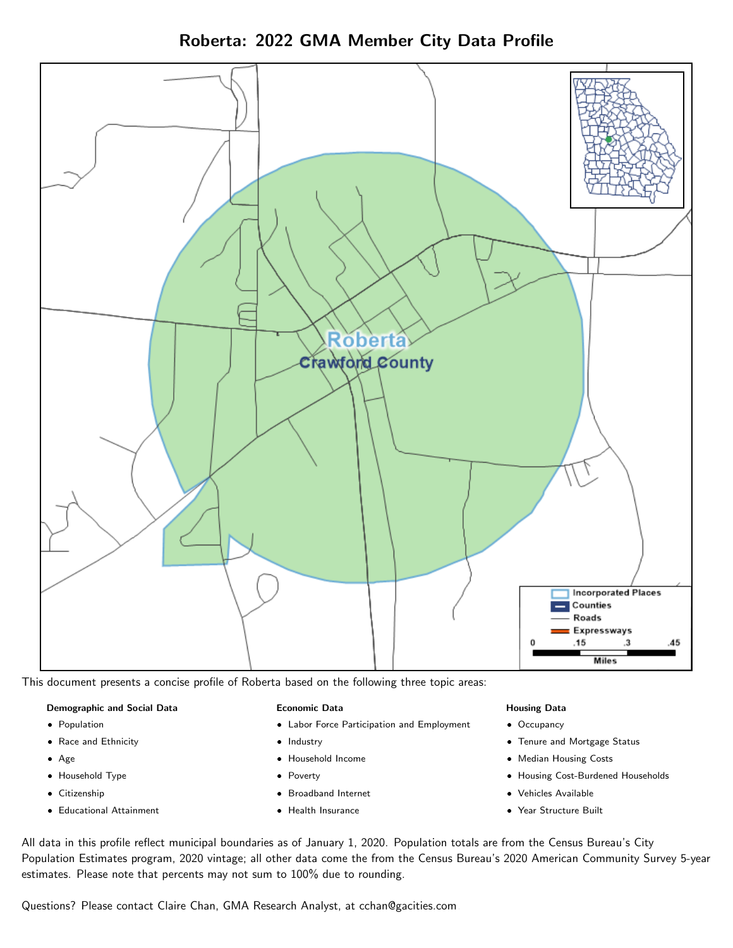Roberta: 2022 GMA Member City Data Profile



This document presents a concise profile of Roberta based on the following three topic areas:

#### Demographic and Social Data

- **•** Population
- Race and Ethnicity
- Age
- Household Type
- **Citizenship**
- Educational Attainment

#### Economic Data

- Labor Force Participation and Employment
- Industry
- Household Income
- Poverty
- Broadband Internet
- Health Insurance

#### Housing Data

- Occupancy
- Tenure and Mortgage Status
- Median Housing Costs
- Housing Cost-Burdened Households
- Vehicles Available
- Year Structure Built

All data in this profile reflect municipal boundaries as of January 1, 2020. Population totals are from the Census Bureau's City Population Estimates program, 2020 vintage; all other data come the from the Census Bureau's 2020 American Community Survey 5-year estimates. Please note that percents may not sum to 100% due to rounding.

Questions? Please contact Claire Chan, GMA Research Analyst, at [cchan@gacities.com.](mailto:cchan@gacities.com)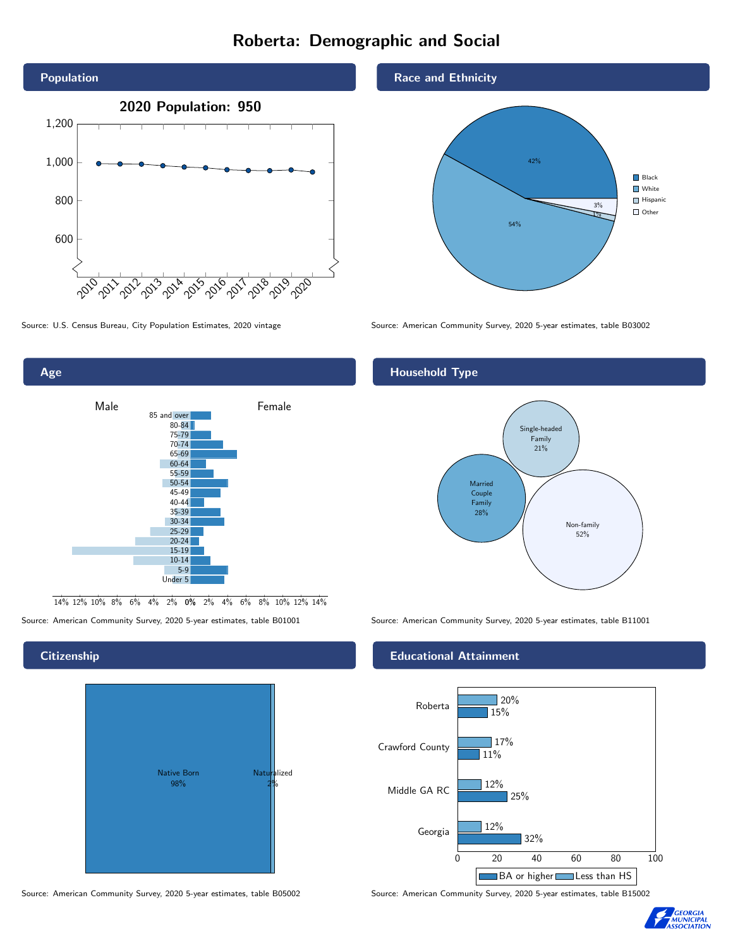# Roberta: Demographic and Social





0% 2% 4% 6% 8% 10% 12% 14% 14% 12% 10% 8% 6% 4% 2%

# Native Born 98% Naturalized 2%

Source: American Community Survey, 2020 5-year estimates, table B05002 Source: American Community Survey, 2020 5-year estimates, table B15002

Race and Ethnicity



Source: U.S. Census Bureau, City Population Estimates, 2020 vintage Source: American Community Survey, 2020 5-year estimates, table B03002

#### Household Type



Source: American Community Survey, 2020 5-year estimates, table B01001 Source: American Community Survey, 2020 5-year estimates, table B11001

#### Educational Attainment





#### **Citizenship**

Age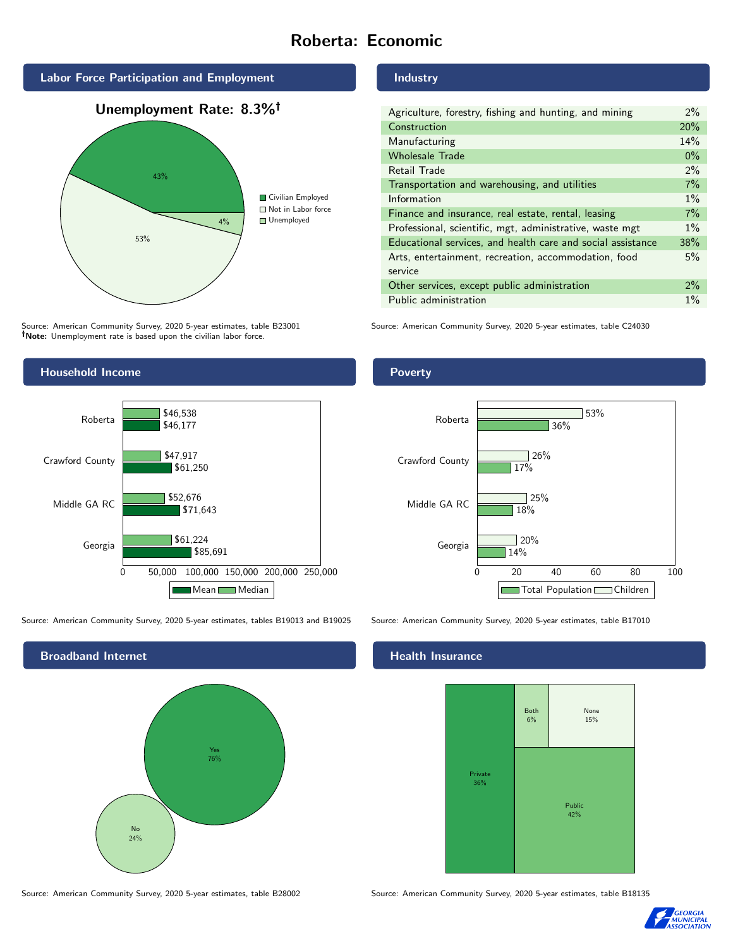# Roberta: Economic



Source: American Community Survey, 2020 5-year estimates, table B23001 Note: Unemployment rate is based upon the civilian labor force.

#### Industry

| Agriculture, forestry, fishing and hunting, and mining      | $2\%$ |
|-------------------------------------------------------------|-------|
| Construction                                                | 20%   |
| Manufacturing                                               | 14%   |
| <b>Wholesale Trade</b>                                      | $0\%$ |
| Retail Trade                                                | 2%    |
| Transportation and warehousing, and utilities               | 7%    |
| Information                                                 | $1\%$ |
| Finance and insurance, real estate, rental, leasing         | 7%    |
| Professional, scientific, mgt, administrative, waste mgt    | $1\%$ |
| Educational services, and health care and social assistance | 38%   |
| Arts, entertainment, recreation, accommodation, food        | 5%    |
| service                                                     |       |
| Other services, except public administration                | $2\%$ |
| Public administration                                       | $1\%$ |

Source: American Community Survey, 2020 5-year estimates, table C24030



Source: American Community Survey, 2020 5-year estimates, tables B19013 and B19025 Source: American Community Survey, 2020 5-year estimates, table B17010



Poverty



#### Health Insurance



Source: American Community Survey, 2020 5-year estimates, table B28002 Source: American Community Survey, 2020 5-year estimates, table B18135